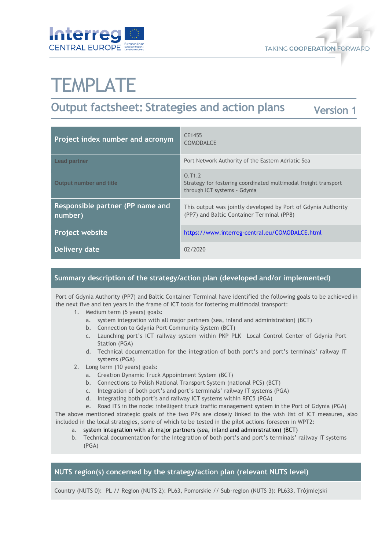



# **TEMPLATE**

# **Output factsheet: Strategies and action plans**

**Version 1**

| Project index number and acronym            | CE1455<br><b>COMODALCE</b>                                                                                 |
|---------------------------------------------|------------------------------------------------------------------------------------------------------------|
| <b>Lead partner</b>                         | Port Network Authority of the Eastern Adriatic Sea                                                         |
| <b>Output number and title</b>              | 0.71.2<br>Strategy for fostering coordinated multimodal freight transport<br>through ICT systems - Gdynia  |
| Responsible partner (PP name and<br>number) | This output was jointly developed by Port of Gdynia Authority<br>(PP7) and Baltic Container Terminal (PP8) |
| <b>Project website</b>                      | https://www.interreg-central.eu/COMODALCE.html                                                             |
| Delivery date                               | 02/2020                                                                                                    |

#### **Summary description of the strategy/action plan (developed and/or implemented)**

Port of Gdynia Authority (PP7) and Baltic Container Terminal have identified the following goals to be achieved in the next five and ten years in the frame of ICT tools for fostering multimodal transport:

- 1. Medium term (5 years) goals:
	- a. system integration with all major partners (sea, inland and administration) (BCT)
	- b. Connection to Gdynia Port Community System (BCT)
	- c. Launching port's ICT railway system within PKP PLK Local Control Center of Gdynia Port Station (PGA)
	- d. Technical documentation for the integration of both port's and port's terminals' railway IT systems (PGA)
- 2. Long term (10 years) goals:
	- a. Creation Dynamic Truck Appointment System (BCT)
	- b. Connections to Polish National Transport System (national PCS) (BCT)
	- c. Integration of both port's and port's terminals' railway IT systems (PGA)
	- d. Integrating both port's and railway ICT systems within RFC5 (PGA)
	- e. Road ITS in the node: intelligent truck traffic management system in the Port of Gdynia (PGA)

The above mentioned strategic goals of the two PPs are closely linked to the wish list of ICT measures, also included in the local strategies, some of which to be tested in the pilot actions foreseen in WPT2:

- a. system integration with all major partners (sea, inland and administration) (BCT)
- b. Technical documentation for the integration of both port's and port's terminals' railway IT systems (PGA)

#### **NUTS region(s) concerned by the strategy/action plan (relevant NUTS level)**

Country (NUTS 0): PL // Region (NUTS 2): PL63, Pomorskie // Sub-region (NUTS 3): PL633, Trójmiejski